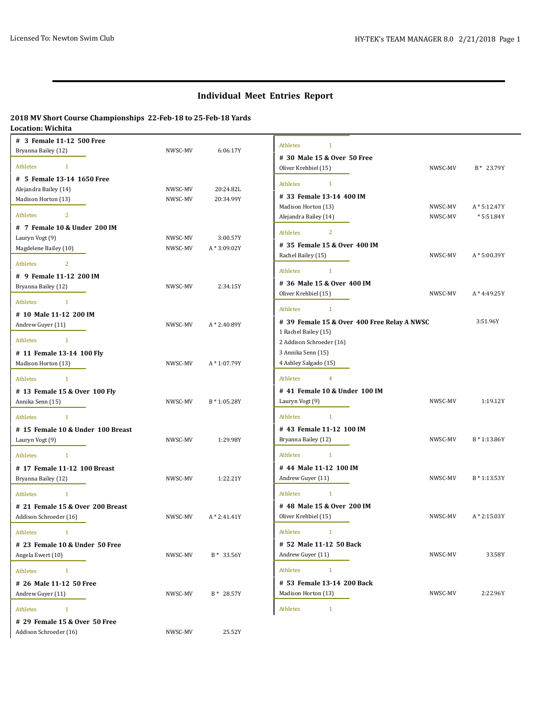## **Individual Meet Entries Report**

## **2018 MV Short Course Championships 22-Feb-18 to 25-Feb-18 Yards**

**Location: Wichita**

| # 3 Female 11-12 500 Free                   |         |                | Athletes<br>$\mathbf{1}$                                       |                |
|---------------------------------------------|---------|----------------|----------------------------------------------------------------|----------------|
| Bryanna Bailey (12)                         | NWSC-MV | 6:06.17Y       |                                                                |                |
| Athletes<br>$\mathbf{1}$                    |         |                | # 30 Male 15 & Over 50 Free<br>Oliver Krehbiel (15)<br>NWSC-MV | B * 23.79Y     |
| # 5 Female 13-14 1650 Free                  |         |                |                                                                |                |
| Alejandra Bailey (14)                       | NWSC-MV | 20:24.82L      | Athletes<br>$\mathbf{1}$                                       |                |
| Madison Horton (13)                         | NWSC-MV | 20:34.99Y      | # 33 Female 13-14 400 IM                                       |                |
|                                             |         |                | Madison Horton (13)<br>NWSC-MV                                 | $A * 5:12.47Y$ |
| $\overline{2}$<br>Athletes                  |         |                | Alejandra Bailey (14)<br>NWSC-MV                               | * 5:51.84Y     |
| # 7 Female 10 & Under 200 IM                |         |                | 2<br><b>Athletes</b>                                           |                |
| Lauryn Vogt (9)                             | NWSC-MV | 3:00.57Y       | # 35 Female 15 & Over 400 IM                                   |                |
| Magdelene Bailey (10)                       | NWSC-MV | $A * 3:09.02Y$ | Rachel Bailey (15)<br>NWSC-MV                                  | $A * 5:00.39Y$ |
| $\overline{2}$<br>Athletes                  |         |                | $\mathbf{1}$<br>Athletes                                       |                |
| # 9 Female 11-12 200 IM                     |         |                |                                                                |                |
| Bryanna Bailey (12)                         | NWSC-MV | 2:34.15Y       | # 36 Male 15 & Over 400 IM                                     |                |
| $\mathbf{1}$<br>Athletes                    |         |                | Oliver Krehbiel (15)<br>NWSC-MV                                | $A * 4:49.25Y$ |
|                                             |         |                | Athletes<br>$\mathbf{1}$                                       |                |
| # 10 Male 11-12 200 IM<br>Andrew Guyer (11) | NWSC-MV | $A * 2:40.89Y$ | # 39 Female 15 & Over 400 Free Relay A NWSC                    | 3:51.96Y       |
|                                             |         |                | 1 Rachel Bailey (15)                                           |                |
| Athletes<br>$\mathbf{1}$                    |         |                | 2 Addison Schroeder (16)                                       |                |
| # 11 Female 13-14 100 Fly                   |         |                | 3 Annika Senn (15)                                             |                |
| Madison Horton (13)                         | NWSC-MV | $A * 1:07.79Y$ | 4 Ashley Salgado (15)                                          |                |
| Athletes<br>$\mathbf{1}$                    |         |                | Athletes<br>4                                                  |                |
| # 13 Female 15 & Over 100 Fly               |         |                | #41 Female 10 & Under 100 IM                                   |                |
| Annika Senn (15)                            | NWSC-MV | B * 1:05.28Y   | Lauryn Vogt (9)<br>NWSC-MV                                     | 1:19.12Y       |
| <b>Athletes</b><br>$\mathbf{1}$             |         |                | $\mathbf{1}$<br><b>Athletes</b>                                |                |
|                                             |         |                |                                                                |                |
| #15 Female 10 & Under 100 Breast            |         |                | #43 Female 11-12 100 IM                                        |                |
| Lauryn Vogt (9)                             | NWSC-MV | 1:29.98Y       | Bryanna Bailey (12)<br>NWSC-MV                                 | B * 1:13.86Y   |
| $\mathbf{1}$<br>Athletes                    |         |                | $\mathbf{1}$<br>Athletes                                       |                |
| # 17 Female 11-12 100 Breast                |         |                | #44 Male 11-12 100 IM                                          |                |
| Bryanna Bailey (12)                         | NWSC-MV | 1:22.21Y       | Andrew Guyer (11)<br>NWSC-MV                                   | B * 1:13.53Y   |
| $\mathbf{1}$<br>Athletes                    |         |                | $\mathbf{1}$<br>Athletes                                       |                |
| # 21 Female 15 & Over 200 Breast            |         |                | #48 Male 15 & Over 200 IM                                      |                |
| Addison Schroeder (16)                      | NWSC-MV | $A * 2:41.41Y$ | Oliver Krehbiel (15)<br>NWSC-MV                                | $A * 2:15.03Y$ |
| Athletes<br>$\mathbf{1}$                    |         |                | <b>Athletes</b><br>$\mathbf{1}$                                |                |
| # 23 Female 10 & Under 50 Free              |         |                | # 52 Male 11-12 50 Back                                        |                |
| Angela Ewert (10)                           | NWSC-MV | B * 33.56Y     | Andrew Guyer (11)<br>NWSC-MV                                   | 33.58Y         |
| Athletes<br>$\mathbf{1}$                    |         |                | Athletes<br>$\mathbf{1}$                                       |                |
| # 26 Male 11-12 50 Free                     |         |                | # 53 Female 13-14 200 Back                                     |                |
| Andrew Guyer (11)                           | NWSC-MV | B * 28.57Y     | Madison Horton (13)<br>NWSC-MV                                 | 2:22.96Y       |
|                                             |         |                |                                                                |                |
| $\mathbf{1}$<br>Athletes                    |         |                | Athletes<br>$\mathbf{1}$                                       |                |
| # 29 Female 15 & Over 50 Free               |         |                |                                                                |                |
| Addison Schroeder (16)                      | NWSC-MV | 25.52Y         |                                                                |                |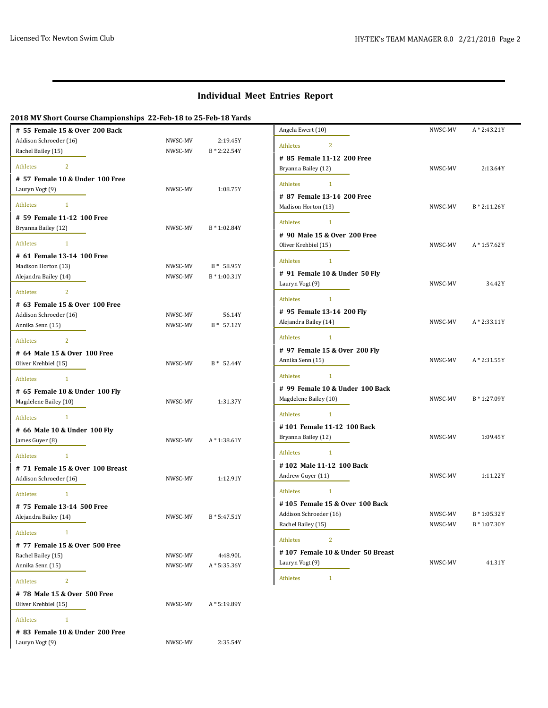## **Individual Meet Entries Report**

| # 55 Female 15 & Over 200 Back                           |                    |                            | Angela Ewert (10)                                 | NWSC-MV | $A * 2:43.21Y$ |
|----------------------------------------------------------|--------------------|----------------------------|---------------------------------------------------|---------|----------------|
| Addison Schroeder (16)                                   | NWSC-MV            | 2:19.45Y                   | $\overline{2}$<br>Athletes                        |         |                |
| Rachel Bailey (15)                                       | NWSC-MV            | $B * 2:22.54Y$             |                                                   |         |                |
| 2<br>Athletes                                            |                    |                            | # 85 Female 11-12 200 Free<br>Bryanna Bailey (12) | NWSC-MV | 2:13.64Y       |
| # 57 Female 10 & Under 100 Free                          |                    |                            |                                                   |         |                |
| Lauryn Vogt (9)                                          | NWSC-MV            | 1:08.75Y                   | Athletes<br>$\mathbf{1}$                          |         |                |
| Athletes<br>$\mathbf{1}$                                 |                    |                            | # 87 Female 13-14 200 Free<br>Madison Horton (13) | NWSC-MV | $B * 2:11.26Y$ |
| # 59 Female 11-12 100 Free                               |                    |                            |                                                   |         |                |
| Bryanna Bailey (12)                                      | NWSC-MV            | B * 1:02.84Y               | Athletes<br>$\mathbf{1}$                          |         |                |
| $\mathbf{1}$<br>Athletes                                 |                    |                            | # 90 Male 15 & Over 200 Free                      |         |                |
| # 61 Female 13-14 100 Free                               |                    |                            | Oliver Krehbiel (15)                              | NWSC-MV | $A * 1:57.62Y$ |
| Madison Horton (13)                                      | NWSC-MV            | B * 58.95Y                 | $\mathbf{1}$<br>Athletes                          |         |                |
| Alejandra Bailey (14)                                    | NWSC-MV            | $B * 1:00.31Y$             | # 91 Female 10 & Under 50 Fly                     |         |                |
| 2<br>Athletes                                            |                    |                            | Lauryn Vogt (9)                                   | NWSC-MV | 34.42Y         |
|                                                          |                    |                            | Athletes<br>$\mathbf{1}$                          |         |                |
| # 63 Female 15 & Over 100 Free<br>Addison Schroeder (16) | NWSC-MV            | 56.14Y                     | # 95 Female 13-14 200 Fly                         |         |                |
| Annika Senn (15)                                         | NWSC-MV            | B * 57.12Y                 | Alejandra Bailey (14)                             | NWSC-MV | $A * 2:33.11Y$ |
| 2<br><b>Athletes</b>                                     |                    |                            | <b>Athletes</b><br>$\mathbf{1}$                   |         |                |
|                                                          |                    |                            | # 97 Female 15 & Over 200 Fly                     |         |                |
| # 64 Male 15 & Over 100 Free<br>Oliver Krehbiel (15)     | NWSC-MV            | B * 52.44Y                 | Annika Senn (15)                                  | NWSC-MV | $A * 2:31.55Y$ |
|                                                          |                    |                            | Athletes<br>$\mathbf{1}$                          |         |                |
| $\mathbf{1}$<br>Athletes                                 |                    |                            | # 99 Female 10 & Under 100 Back                   |         |                |
| # 65 Female 10 & Under 100 Fly                           |                    |                            | Magdelene Bailey (10)                             | NWSC-MV | $B * 1:27.09Y$ |
| Magdelene Bailey (10)                                    | NWSC-MV            | 1:31.37Y                   |                                                   |         |                |
| $\mathbf{1}$<br>Athletes                                 |                    |                            | $\mathbf{1}$<br>Athletes                          |         |                |
| # 66 Male 10 & Under 100 Fly                             |                    |                            | #101 Female 11-12 100 Back                        |         |                |
| James Guyer (8)                                          | NWSC-MV            | $A * 1:38.61Y$             | Bryanna Bailey (12)                               | NWSC-MV | 1:09.45Y       |
| $\mathbf{1}$<br>Athletes                                 |                    |                            | $\mathbf{1}$<br>Athletes                          |         |                |
| # 71 Female 15 & Over 100 Breast                         |                    |                            | #102 Male 11-12 100 Back                          |         |                |
| Addison Schroeder (16)                                   | NWSC-MV            | 1:12.91Y                   | Andrew Guyer (11)                                 | NWSC-MV | 1:11.22Y       |
| $\mathbf{1}$<br>Athletes                                 |                    |                            | $\mathbf{1}$<br>Athletes                          |         |                |
| # 75 Female 13-14 500 Free                               |                    |                            | #105 Female 15 & Over 100 Back                    |         |                |
| Alejandra Bailey (14)                                    | NWSC-MV            | $B * 5:47.51Y$             | Addison Schroeder (16)                            | NWSC-MV | B * 1:05.32Y   |
|                                                          |                    |                            | Rachel Bailey (15)                                | NWSC-MV | B * 1:07.30Y   |
| Athletes<br>$\mathbf{1}$                                 |                    |                            | $\overline{2}$<br>Athletes                        |         |                |
| #77 Female 15 & Over 500 Free                            |                    |                            | #107 Female 10 & Under 50 Breast                  |         |                |
| Rachel Bailey (15)<br>Annika Senn (15)                   | NWSC-MV<br>NWSC-MV | 4:48.90L<br>$A * 5:35.36Y$ | Lauryn Vogt (9)                                   | NWSC-MV | 41.31Y         |
|                                                          |                    |                            | Athletes<br>$\mathbf{1}$                          |         |                |
| $\overline{2}$<br>Athletes                               |                    |                            |                                                   |         |                |
| #78 Male 15 & Over 500 Free                              |                    |                            |                                                   |         |                |
| Oliver Krehbiel (15)                                     | NWSC-MV            | $A * 5:19.89Y$             |                                                   |         |                |
| Athletes<br>$\mathbf{1}$                                 |                    |                            |                                                   |         |                |
| # 83 Female 10 & Under 200 Free                          |                    |                            |                                                   |         |                |
| Lauryn Vogt (9)                                          | NWSC-MV            | 2:35.54Y                   |                                                   |         |                |